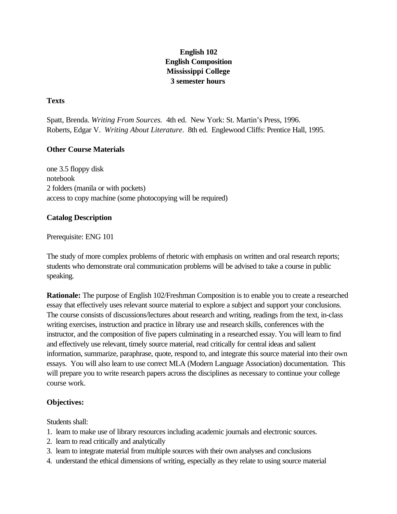# **English 102 English Composition Mississippi College 3 semester hours**

## **Texts**

Spatt, Brenda. *Writing From Sources.* 4th ed. New York: St. Martin's Press, 1996. Roberts, Edgar V. *Writing About Literature*. 8th ed. Englewood Cliffs: Prentice Hall, 1995.

### **Other Course Materials**

one 3.5 floppy disk notebook 2 folders (manila or with pockets) access to copy machine (some photocopying will be required)

### **Catalog Description**

#### Prerequisite: ENG 101

The study of more complex problems of rhetoric with emphasis on written and oral research reports; students who demonstrate oral communication problems will be advised to take a course in public speaking.

**Rationale:** The purpose of English 102/Freshman Composition is to enable you to create a researched essay that effectively uses relevant source material to explore a subject and support your conclusions. The course consists of discussions/lectures about research and writing, readings from the text, in-class writing exercises, instruction and practice in library use and research skills, conferences with the instructor, and the composition of five papers culminating in a researched essay. You will learn to find and effectively use relevant, timely source material, read critically for central ideas and salient information, summarize, paraphrase, quote, respond to, and integrate this source material into their own essays. You will also learn to use correct MLA (Modern Language Association) documentation. This will prepare you to write research papers across the disciplines as necessary to continue your college course work.

#### **Objectives:**

Students shall:

- 1. learn to make use of library resources including academic journals and electronic sources.
- 2. learn to read critically and analytically
- 3. learn to integrate material from multiple sources with their own analyses and conclusions
- 4. understand the ethical dimensions of writing, especially as they relate to using source material